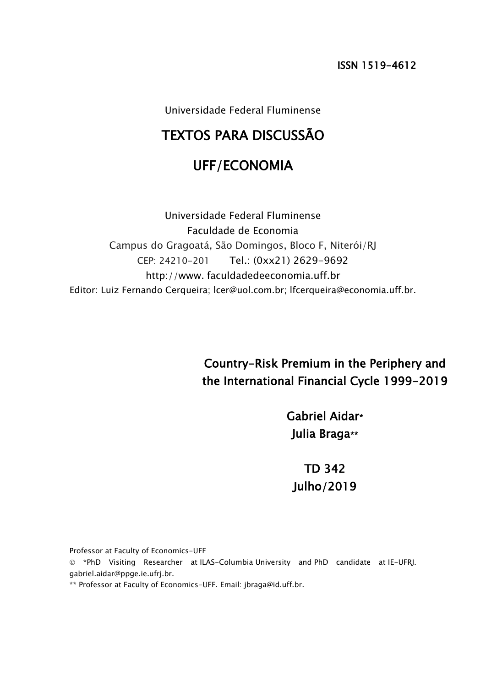ISSN 1519-4612

Universidade Federal Fluminense

# TEXTOS PARA DISCUSSÃO

## UFF/ECONOMIA

Universidade Federal Fluminense Faculdade de Economia Campus do Gragoatá, São Domingos, Bloco F, Niterói/RJ CEP: 24210-201 Tel.: (0xx21) 2629-9692 http://www. faculdadedeeconomia.uff.br Editor: Luiz Fernando Cerqueira; lcer@uol.com.br; lfcerqueira@economia.uff.br.

> Country-Risk Premium in the Periphery and the International Financial Cycle 1999-2019

> > Gabriel Aidar\* Julia Braga\*\*

TD 342 Julho/2019

Professor at Faculty of Economics-UFF

© \*PhD Visiting Researcher at ILAS-Columbia University and PhD candidate at IE-UFRJ. gabriel.aidar@ppge.ie.ufrj.br.

\*\* Professor at Faculty of Economics-UFF. Email: jbraga@id.uff.br.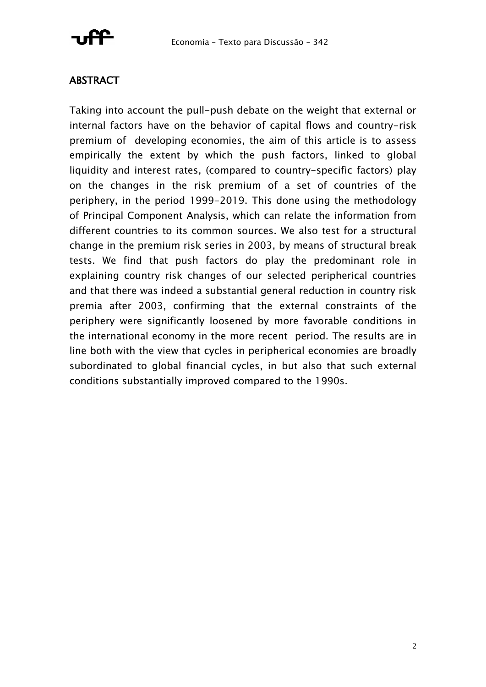

## **ABSTRACT**

Taking into account the pull-push debate on the weight that external or internal factors have on the behavior of capital flows and country-risk premium of developing economies, the aim of this article is to assess empirically the extent by which the push factors, linked to global liquidity and interest rates, (compared to country-specific factors) play on the changes in the risk premium of a set of countries of the periphery, in the period 1999-2019. This done using the methodology of Principal Component Analysis, which can relate the information from different countries to its common sources. We also test for a structural change in the premium risk series in 2003, by means of structural break tests. We find that push factors do play the predominant role in explaining country risk changes of our selected peripherical countries and that there was indeed a substantial general reduction in country risk premia after 2003, confirming that the external constraints of the periphery were significantly loosened by more favorable conditions in the international economy in the more recent period. The results are in line both with the view that cycles in peripherical economies are broadly subordinated to global financial cycles, in but also that such external conditions substantially improved compared to the 1990s.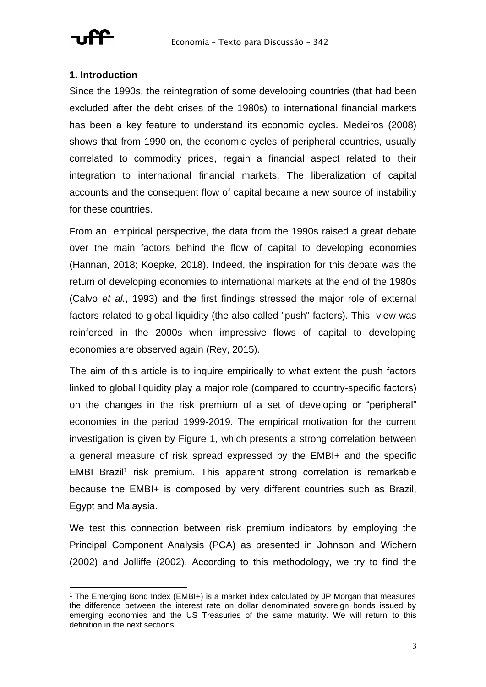

## **1. Introduction**

Since the 1990s, the reintegration of some developing countries (that had been excluded after the debt crises of the 1980s) to international financial markets has been a key feature to understand its economic cycles. Medeiros (2008) shows that from 1990 on, the economic cycles of peripheral countries, usually correlated to commodity prices, regain a financial aspect related to their integration to international financial markets. The liberalization of capital accounts and the consequent flow of capital became a new source of instability for these countries.

From an empirical perspective, the data from the 1990s raised a great debate over the main factors behind the flow of capital to developing economies (Hannan, 2018; Koepke, 2018). Indeed, the inspiration for this debate was the return of developing economies to international markets at the end of the 1980s (Calvo *et al.*, 1993) and the first findings stressed the major role of external factors related to global liquidity (the also called "push" factors). This view was reinforced in the 2000s when impressive flows of capital to developing economies are observed again (Rey, 2015).

The aim of this article is to inquire empirically to what extent the push factors linked to global liquidity play a major role (compared to country-specific factors) on the changes in the risk premium of a set of developing or "peripheral" economies in the period 1999-2019. The empirical motivation for the current investigation is given by Figure 1, which presents a strong correlation between a general measure of risk spread expressed by the EMBI+ and the specific EMBI Brazil<sup>1</sup> risk premium. This apparent strong correlation is remarkable because the EMBI+ is composed by very different countries such as Brazil, Egypt and Malaysia.

We test this connection between risk premium indicators by employing the Principal Component Analysis (PCA) as presented in Johnson and Wichern (2002) and Jolliffe (2002). According to this methodology, we try to find the

<sup>1</sup> The Emerging Bond Index (EMBI+) is a market index calculated by JP Morgan that measures the difference between the interest rate on dollar denominated sovereign bonds issued by emerging economies and the US Treasuries of the same maturity. We will return to this definition in the next sections.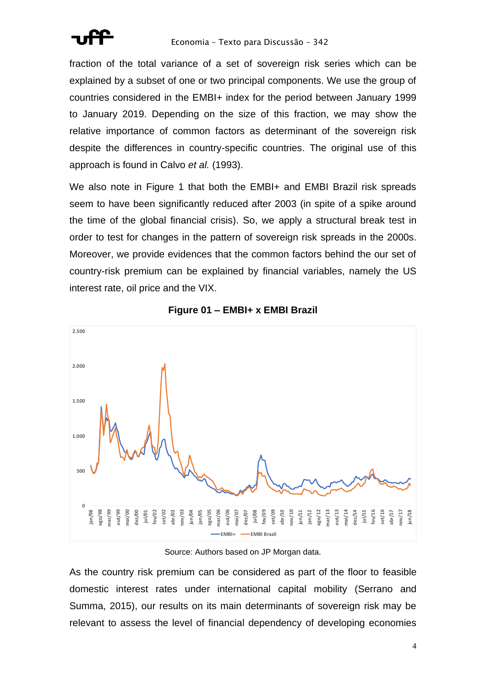

fraction of the total variance of a set of sovereign risk series which can be explained by a subset of one or two principal components. We use the group of countries considered in the EMBI+ index for the period between January 1999 to January 2019. Depending on the size of this fraction, we may show the relative importance of common factors as determinant of the sovereign risk despite the differences in country-specific countries. The original use of this approach is found in Calvo *et al.* (1993).

We also note in Figure 1 that both the EMBI+ and EMBI Brazil risk spreads seem to have been significantly reduced after 2003 (in spite of a spike around the time of the global financial crisis). So, we apply a structural break test in order to test for changes in the pattern of sovereign risk spreads in the 2000s. Moreover, we provide evidences that the common factors behind the our set of country-risk premium can be explained by financial variables, namely the US interest rate, oil price and the VIX.





### Source: Authors based on JP Morgan data.

As the country risk premium can be considered as part of the floor to feasible domestic interest rates under international capital mobility (Serrano and Summa, 2015), our results on its main determinants of sovereign risk may be relevant to assess the level of financial dependency of developing economies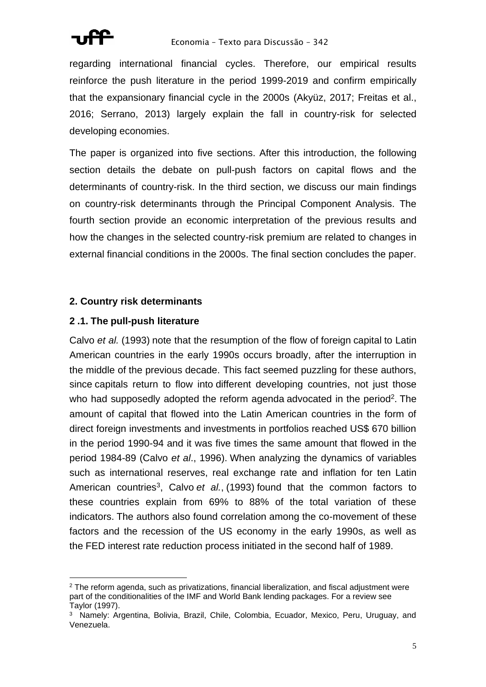

regarding international financial cycles. Therefore, our empirical results reinforce the push literature in the period 1999-2019 and confirm empirically that the expansionary financial cycle in the 2000s (Akyüz, 2017; Freitas et al., 2016; Serrano, 2013) largely explain the fall in country-risk for selected developing economies.

The paper is organized into five sections. After this introduction, the following section details the debate on pull-push factors on capital flows and the determinants of country-risk. In the third section, we discuss our main findings on country-risk determinants through the Principal Component Analysis. The fourth section provide an economic interpretation of the previous results and how the changes in the selected country-risk premium are related to changes in external financial conditions in the 2000s. The final section concludes the paper.

## **2. Country risk determinants**

## **2 .1. The pull-push literature**

Calvo *et al.* (1993) note that the resumption of the flow of foreign capital to Latin American countries in the early 1990s occurs broadly, after the interruption in the middle of the previous decade. This fact seemed puzzling for these authors, since capitals return to flow into different developing countries, not just those who had supposedly adopted the reform agenda advocated in the period<sup>2</sup>. The amount of capital that flowed into the Latin American countries in the form of direct foreign investments and investments in portfolios reached US\$ 670 billion in the period 1990-94 and it was five times the same amount that flowed in the period 1984-89 (Calvo *et al*., 1996). When analyzing the dynamics of variables such as international reserves, real exchange rate and inflation for ten Latin American countries<sup>3</sup>, Calvo *et al.*, (1993) found that the common factors to these countries explain from 69% to 88% of the total variation of these indicators. The authors also found correlation among the co-movement of these factors and the recession of the US economy in the early 1990s, as well as the FED interest rate reduction process initiated in the second half of 1989.

<sup>&</sup>lt;sup>2</sup> The reform agenda, such as privatizations, financial liberalization, and fiscal adjustment were part of the conditionalities of the IMF and World Bank lending packages. For a review see Taylor (1997).

<sup>3</sup> Namely: Argentina, Bolivia, Brazil, Chile, Colombia, Ecuador, Mexico, Peru, Uruguay, and Venezuela.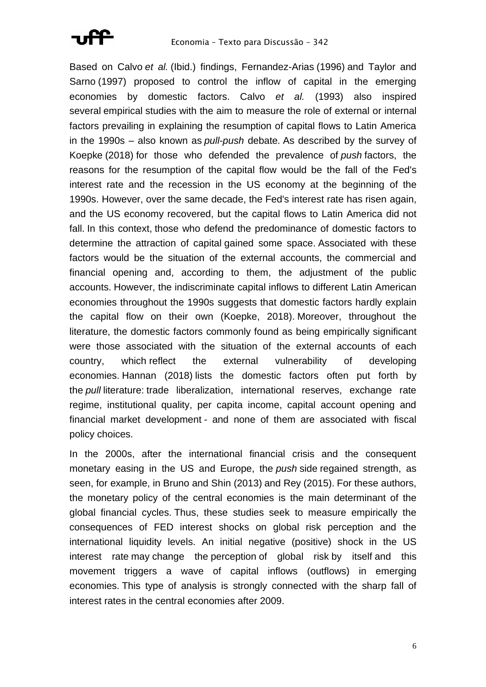

Based on Calvo *et al.* (Ibid.) findings, Fernandez-Arias (1996) and Taylor and Sarno (1997) proposed to control the inflow of capital in the emerging economies by domestic factors. Calvo *et al.* (1993) also inspired several empirical studies with the aim to measure the role of external or internal factors prevailing in explaining the resumption of capital flows to Latin America in the 1990s – also known as *pull*-*push* debate*.* As described by the survey of Koepke (2018) for those who defended the prevalence of *push* factors, the reasons for the resumption of the capital flow would be the fall of the Fed's interest rate and the recession in the US economy at the beginning of the 1990s. However, over the same decade, the Fed's interest rate has risen again, and the US economy recovered, but the capital flows to Latin America did not fall. In this context, those who defend the predominance of domestic factors to determine the attraction of capital gained some space. Associated with these factors would be the situation of the external accounts, the commercial and financial opening and, according to them, the adjustment of the public accounts. However, the indiscriminate capital inflows to different Latin American economies throughout the 1990s suggests that domestic factors hardly explain the capital flow on their own (Koepke, 2018). Moreover, throughout the literature, the domestic factors commonly found as being empirically significant were those associated with the situation of the external accounts of each country, which reflect the external vulnerability of developing economies. Hannan (2018) lists the domestic factors often put forth by the *pull* literature: trade liberalization, international reserves, exchange rate regime, institutional quality, per capita income, capital account opening and financial market development - and none of them are associated with fiscal policy choices.

In the 2000s, after the international financial crisis and the consequent monetary easing in the US and Europe, the *push* side regained strength, as seen, for example, in Bruno and Shin (2013) and Rey (2015). For these authors, the monetary policy of the central economies is the main determinant of the global financial cycles. Thus, these studies seek to measure empirically the consequences of FED interest shocks on global risk perception and the international liquidity levels. An initial negative (positive) shock in the US interest rate may change the perception of global risk by itself and this movement triggers a wave of capital inflows (outflows) in emerging economies. This type of analysis is strongly connected with the sharp fall of interest rates in the central economies after 2009.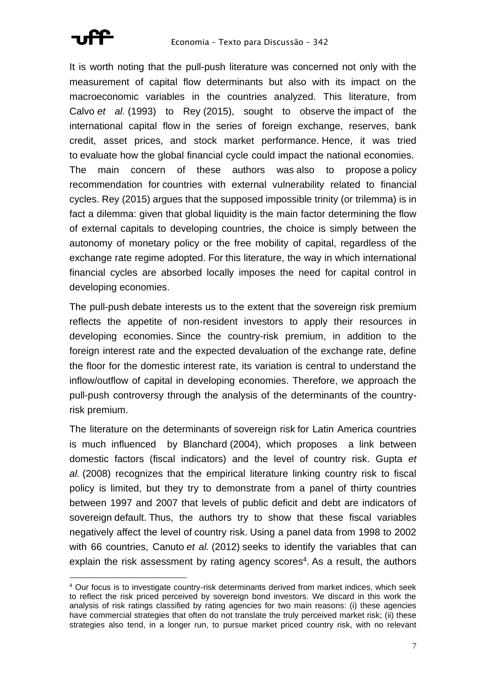

It is worth noting that the pull-push literature was concerned not only with the measurement of capital flow determinants but also with its impact on the macroeconomic variables in the countries analyzed. This literature, from Calvo *et al.* (1993) to Rey (2015), sought to observe the impact of the international capital flow in the series of foreign exchange, reserves, bank credit, asset prices, and stock market performance. Hence, it was tried to evaluate how the global financial cycle could impact the national economies. The main concern of these authors was also to propose a policy recommendation for countries with external vulnerability related to financial cycles. Rey (2015) argues that the supposed impossible trinity (or trilemma) is in fact a dilemma: given that global liquidity is the main factor determining the flow of external capitals to developing countries, the choice is simply between the autonomy of monetary policy or the free mobility of capital, regardless of the exchange rate regime adopted. For this literature, the way in which international financial cycles are absorbed locally imposes the need for capital control in developing economies.

The pull-push debate interests us to the extent that the sovereign risk premium reflects the appetite of non-resident investors to apply their resources in developing economies. Since the country-risk premium, in addition to the foreign interest rate and the expected devaluation of the exchange rate, define the floor for the domestic interest rate, its variation is central to understand the inflow/outflow of capital in developing economies. Therefore, we approach the pull-push controversy through the analysis of the determinants of the countryrisk premium.

The literature on the determinants of sovereign risk for Latin America countries is much influenced by Blanchard (2004), which proposes a link between domestic factors (fiscal indicators) and the level of country risk. Gupta *et al.* (2008) recognizes that the empirical literature linking country risk to fiscal policy is limited, but they try to demonstrate from a panel of thirty countries between 1997 and 2007 that levels of public deficit and debt are indicators of sovereign default. Thus, the authors try to show that these fiscal variables negatively affect the level of country risk. Using a panel data from 1998 to 2002 with 66 countries, Canuto *et al.* (2012) seeks to identify the variables that can explain the risk assessment by rating agency scores<sup>4</sup>. As a result, the authors

<sup>4</sup> Our focus is to investigate country-risk determinants derived from market indices, which seek to reflect the risk priced perceived by sovereign bond investors. We discard in this work the analysis of risk ratings classified by rating agencies for two main reasons: (i) these agencies have commercial strategies that often do not translate the truly perceived market risk; (ii) these strategies also tend, in a longer run, to pursue market priced country risk, with no relevant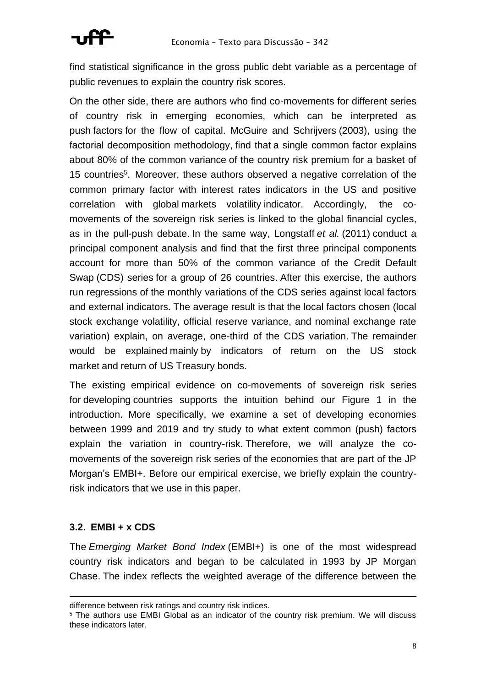

find statistical significance in the gross public debt variable as a percentage of public revenues to explain the country risk scores.

On the other side, there are authors who find co-movements for different series of country risk in emerging economies, which can be interpreted as push factors for the flow of capital. McGuire and Schrijvers (2003), using the factorial decomposition methodology, find that a single common factor explains about 80% of the common variance of the country risk premium for a basket of 15 countries<sup>5</sup>. Moreover, these authors observed a negative correlation of the common primary factor with interest rates indicators in the US and positive correlation with global markets volatility indicator. Accordingly, the comovements of the sovereign risk series is linked to the global financial cycles, as in the pull-push debate. In the same way, Longstaff *et al.* (2011) conduct a principal component analysis and find that the first three principal components account for more than 50% of the common variance of the Credit Default Swap (CDS) series for a group of 26 countries. After this exercise, the authors run regressions of the monthly variations of the CDS series against local factors and external indicators. The average result is that the local factors chosen (local stock exchange volatility, official reserve variance, and nominal exchange rate variation) explain, on average, one-third of the CDS variation. The remainder would be explained mainly by indicators of return on the US stock market and return of US Treasury bonds.

The existing empirical evidence on co-movements of sovereign risk series for developing countries supports the intuition behind our Figure 1 in the introduction. More specifically, we examine a set of developing economies between 1999 and 2019 and try study to what extent common (push) factors explain the variation in country-risk. Therefore, we will analyze the comovements of the sovereign risk series of the economies that are part of the JP Morgan's EMBI+. Before our empirical exercise, we briefly explain the countryrisk indicators that we use in this paper.

## **3.2. EMBI + x CDS**

The *Emerging Market Bond Index* (EMBI+) is one of the most widespread country risk indicators and began to be calculated in 1993 by JP Morgan Chase. The index reflects the weighted average of the difference between the

difference between risk ratings and country risk indices.

<sup>5</sup> The authors use EMBI Global as an indicator of the country risk premium. We will discuss these indicators later.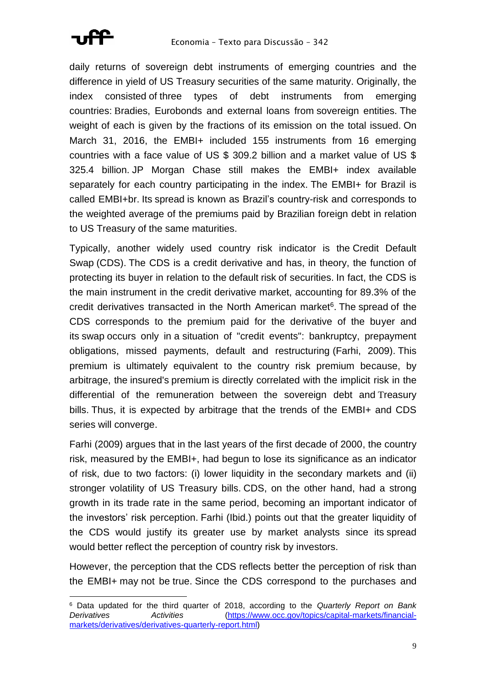

daily returns of sovereign debt instruments of emerging countries and the difference in yield of US Treasury securities of the same maturity. Originally, the index consisted of three types of debt instruments from emerging countries: Bradies, Eurobonds and external loans from sovereign entities. The weight of each is given by the fractions of its emission on the total issued. On March 31, 2016, the EMBI+ included 155 instruments from 16 emerging countries with a face value of US \$ 309.2 billion and a market value of US \$ 325.4 billion. JP Morgan Chase still makes the EMBI+ index available separately for each country participating in the index. The EMBI+ for Brazil is called EMBI+br. Its spread is known as Brazil's country-risk and corresponds to the weighted average of the premiums paid by Brazilian foreign debt in relation to US Treasury of the same maturities.

Typically, another widely used country risk indicator is the Credit Default Swap (CDS). The CDS is a credit derivative and has, in theory, the function of protecting its buyer in relation to the default risk of securities. In fact, the CDS is the main instrument in the credit derivative market, accounting for 89.3% of the credit derivatives transacted in the North American market<sup>6</sup>. The spread of the CDS corresponds to the premium paid for the derivative of the buyer and its swap occurs only in a situation of "credit events": bankruptcy, prepayment obligations, missed payments, default and restructuring (Farhi, 2009). This premium is ultimately equivalent to the country risk premium because, by arbitrage, the insured's premium is directly correlated with the implicit risk in the differential of the remuneration between the sovereign debt and Treasury bills. Thus, it is expected by arbitrage that the trends of the EMBI+ and CDS series will converge.

Farhi (2009) argues that in the last years of the first decade of 2000, the country risk, measured by the EMBI+, had begun to lose its significance as an indicator of risk, due to two factors: (i) lower liquidity in the secondary markets and (ii) stronger volatility of US Treasury bills. CDS, on the other hand, had a strong growth in its trade rate in the same period, becoming an important indicator of the investors' risk perception. Farhi (Ibid.) points out that the greater liquidity of the CDS would justify its greater use by market analysts since its spread would better reflect the perception of country risk by investors.

However, the perception that the CDS reflects better the perception of risk than the EMBI+ may not be true. Since the CDS correspond to the purchases and

<sup>6</sup> Data updated for the third quarter of 2018, according to the *Quarterly Report on Bank Derivatives Activities* [\(https://www.occ.gov/topics/capital-markets/financial](https://www.occ.gov/topics/capital-markets/financial-markets/derivatives/derivatives-quarterly-report.html)[markets/derivatives/derivatives-quarterly-report.html\)](https://www.occ.gov/topics/capital-markets/financial-markets/derivatives/derivatives-quarterly-report.html)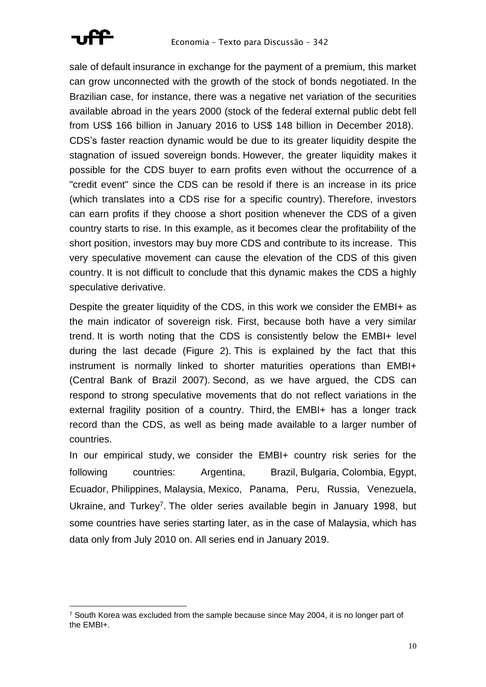

sale of default insurance in exchange for the payment of a premium, this market can grow unconnected with the growth of the stock of bonds negotiated. In the Brazilian case, for instance, there was a negative net variation of the securities available abroad in the years 2000 (stock of the federal external public debt fell from US\$ 166 billion in January 2016 to US\$ 148 billion in December 2018). CDS's faster reaction dynamic would be due to its greater liquidity despite the stagnation of issued sovereign bonds. However, the greater liquidity makes it possible for the CDS buyer to earn profits even without the occurrence of a "credit event" since the CDS can be resold if there is an increase in its price (which translates into a CDS rise for a specific country). Therefore, investors can earn profits if they choose a short position whenever the CDS of a given country starts to rise. In this example, as it becomes clear the profitability of the short position, investors may buy more CDS and contribute to its increase. This very speculative movement can cause the elevation of the CDS of this given country. It is not difficult to conclude that this dynamic makes the CDS a highly speculative derivative.

Despite the greater liquidity of the CDS, in this work we consider the EMBI+ as the main indicator of sovereign risk. First, because both have a very similar trend. It is worth noting that the CDS is consistently below the EMBI+ level during the last decade (Figure 2). This is explained by the fact that this instrument is normally linked to shorter maturities operations than EMBI+ (Central Bank of Brazil 2007). Second, as we have argued, the CDS can respond to strong speculative movements that do not reflect variations in the external fragility position of a country. Third, the EMBI+ has a longer track record than the CDS, as well as being made available to a larger number of countries.

In our empirical study, we consider the EMBI+ country risk series for the following countries: Argentina, Brazil, Bulgaria, Colombia, Egypt, Ecuador, Philippines, Malaysia, Mexico, Panama, Peru, Russia, Venezuela, Ukraine, and Turkey<sup>7</sup>. The older series available begin in January 1998, but some countries have series starting later, as in the case of Malaysia, which has data only from July 2010 on. All series end in January 2019.

 $7$  South Korea was excluded from the sample because since May 2004, it is no longer part of the EMBI+.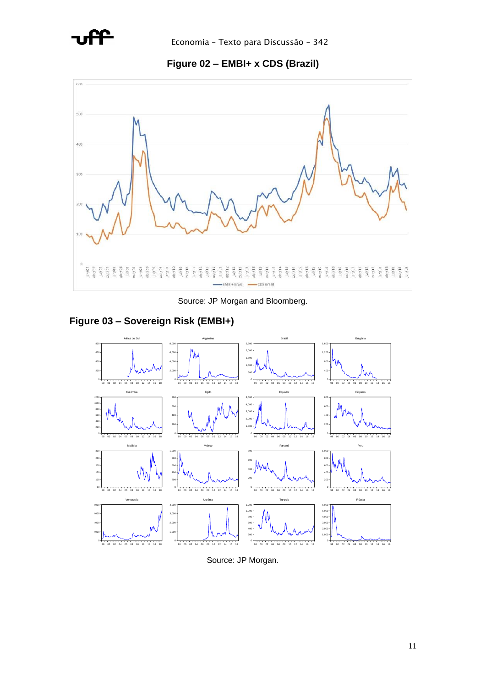

**Figure 02 – EMBI+ x CDS (Brazil)**



Source: JP Morgan and Bloomberg.

## **Figure 03 – Sovereign Risk (EMBI+)**



Source: JP Morgan.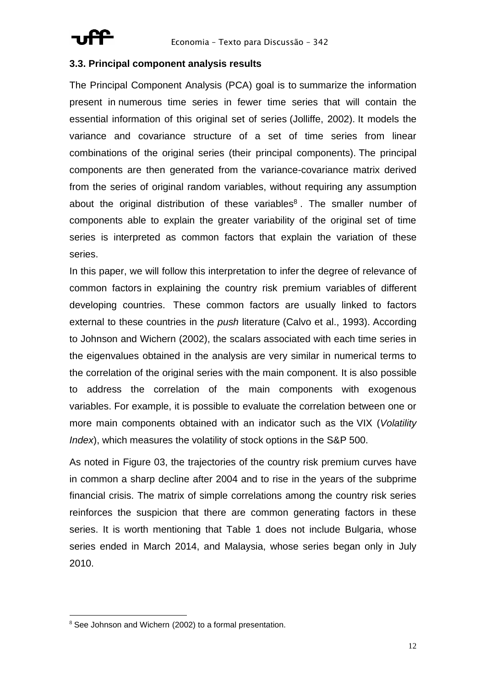

## **3.3. Principal component analysis results**

The Principal Component Analysis (PCA) goal is to summarize the information present in numerous time series in fewer time series that will contain the essential information of this original set of series (Jolliffe, 2002). It models the variance and covariance structure of a set of time series from linear combinations of the original series (their principal components). The principal components are then generated from the variance-covariance matrix derived from the series of original random variables, without requiring any assumption about the original distribution of these variables $8$ . The smaller number of components able to explain the greater variability of the original set of time series is interpreted as common factors that explain the variation of these series.

In this paper, we will follow this interpretation to infer the degree of relevance of common factors in explaining the country risk premium variables of different developing countries. These common factors are usually linked to factors external to these countries in the *push* literature (Calvo et al., 1993). According to Johnson and Wichern (2002), the scalars associated with each time series in the eigenvalues obtained in the analysis are very similar in numerical terms to the correlation of the original series with the main component. It is also possible to address the correlation of the main components with exogenous variables. For example, it is possible to evaluate the correlation between one or more main components obtained with an indicator such as the VIX (*Volatility Index*), which measures the volatility of stock options in the S&P 500.

As noted in Figure 03, the trajectories of the country risk premium curves have in common a sharp decline after 2004 and to rise in the years of the subprime financial crisis. The matrix of simple correlations among the country risk series reinforces the suspicion that there are common generating factors in these series. It is worth mentioning that Table 1 does not include Bulgaria, whose series ended in March 2014, and Malaysia, whose series began only in July 2010.

<sup>&</sup>lt;sup>8</sup> See Johnson and Wichern (2002) to a formal presentation.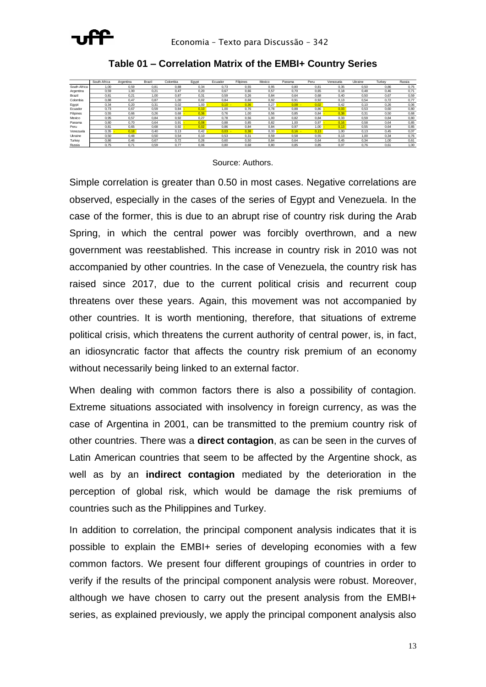

|              | South Africa | Argentina | Brazil | Colombia | Egypt | Ecuador  | Filipines | Mexico | Panama   | Peru | Venezuela | Ukraine | Turkev | Russia |
|--------------|--------------|-----------|--------|----------|-------|----------|-----------|--------|----------|------|-----------|---------|--------|--------|
| South Africa | 1.00         | 0.59      | 0.81   | 0.88     | 0.34  | 0.73     | 0.55      | 0.95   | 0.80     | 0.81 | 0.35      | 0.50    | 0.86   | 0.75   |
| Argentina    | 0.59         | 1.00      | 0.21   | 0.47     | 0.20  | 0.67     | 0.66      | 0.57   | 0.70     | 0.65 | 0.18      | 0.48    | 0.46   | 0,71   |
| Brazil       | 0.81         | 0.21      | 1.00   | 0.87     | 0.31  | 0.59     | 0.26      | 0.84   | 0.64     | 0.68 | 0.40      | 0.50    | 0.67   | 0.59   |
| Colombia     | 0.88         | 0.47      | 0.87   | 1.00     | 0.02  | 0.84     | 0.68      | 0.92   | 0.91     | 0.92 | 0.13      | 0.54    | 0.72   | 0.77   |
| Egypt        | 0.34         | 0.20      | 0.31   | 0.02     | 1.00  | $0.10 -$ | 0.36      | 0.27   | $0.08 -$ | 0.02 | 0.42      | 0.10    | 0.26   | 0,06   |
| Ecuador      | 0.73         | 0.67      | 0.59   | 0.84     | 0.10  | 1.00     | 0.76      | 0.78   | 0.88     | 0.86 | 0.03      | 0.53    | 0.60   | 0.80   |
| Filipines    | 0.55         | 0.66      | 0.26   | 0.68     | 0.36  | 0.76     | 1.00      | 0.56   | 0.85     | 0.84 | 0.38      | 0.31    | 0.50   | 0.68   |
| Mexico       | 0.95         | 0.57      | 0.84   | 0.92     | 0.27  | 0.78     | 0.56      | 1.00   | 0.82     | 0.84 | 0.33      | 0.59    | 0.84   | 0,80   |
| Panama       | 0.80         | 0.70      | 0.64   | 0.91     | 0.08  | 0.88     | 0.85      | 0.82   | 1.00     | 0.97 | 0.16      | 0.58    | 0.64   | 0,85   |
| Peru         | 0.81         | 0.65      | 0.68   | 0.92     | 0.02  | 0.86     | 0.84      | 0.84   | 0,97     | 1.00 | 0.13      | 0.55    | 0.64   | 0,85   |
| Venezuela    | 0.35         | 0.18      | 0.40   | 0.13     | 0.42  | 0.03     | 0.38      | 0.33   | $0.16 -$ | 0.13 | 1.00      | 0.13    | 0.45   | 0.07   |
| Ukraine      | 0.50         | 0.48      | 0.50   | 0.54     | 0.10  | 0.53     | 0.31      | 0.59   | 0.58     | 0.55 | 0.13      | 1.00    | 0.34   | 0.76   |
| Turkev       | 0.86         | 0.46      | 0.67   | 0.72     | 0.26  | 0.60     | 0.50      | 0.84   | 0.64     | 0.64 | 0.45      | 0.34    | 1.00   | 0,61   |
| Russia       | 0.75         | 0.71      | 0.59   | 0.77     | 0.06  | 0.80     | 0.68      | 0.80   | 0.85     | 0.85 | 0.07      | 0.76    | 0.61   | 1.00   |

**Table 01 – Correlation Matrix of the EMBI+ Country Series**

### Source: Authors.

Simple correlation is greater than 0.50 in most cases. Negative correlations are observed, especially in the cases of the series of Egypt and Venezuela. In the case of the former, this is due to an abrupt rise of country risk during the Arab Spring, in which the central power was forcibly overthrown, and a new government was reestablished. This increase in country risk in 2010 was not accompanied by other countries. In the case of Venezuela, the country risk has raised since 2017, due to the current political crisis and recurrent coup threatens over these years. Again, this movement was not accompanied by other countries. It is worth mentioning, therefore, that situations of extreme political crisis, which threatens the current authority of central power, is, in fact, an idiosyncratic factor that affects the country risk premium of an economy without necessarily being linked to an external factor.

When dealing with common factors there is also a possibility of contagion. Extreme situations associated with insolvency in foreign currency, as was the case of Argentina in 2001, can be transmitted to the premium country risk of other countries. There was a **direct contagion**, as can be seen in the curves of Latin American countries that seem to be affected by the Argentine shock, as well as by an **indirect contagion** mediated by the deterioration in the perception of global risk, which would be damage the risk premiums of countries such as the Philippines and Turkey.

In addition to correlation, the principal component analysis indicates that it is possible to explain the EMBI+ series of developing economies with a few common factors. We present four different groupings of countries in order to verify if the results of the principal component analysis were robust. Moreover, although we have chosen to carry out the present analysis from the EMBI+ series, as explained previously, we apply the principal component analysis also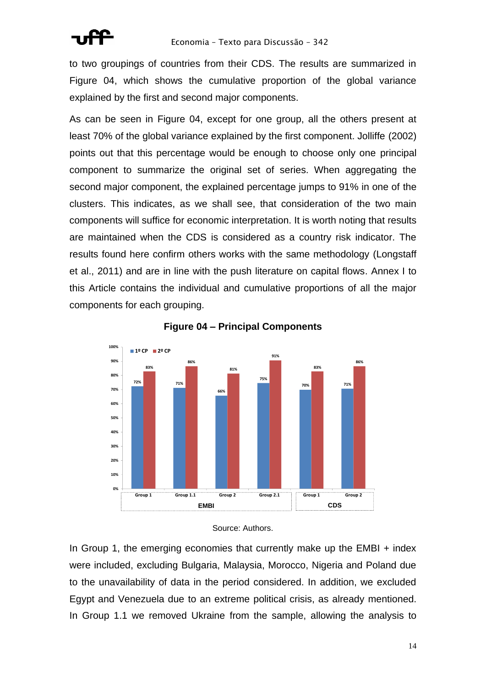to two groupings of countries from their CDS. The results are summarized in Figure 04, which shows the cumulative proportion of the global variance explained by the first and second major components.

As can be seen in Figure 04, except for one group, all the others present at least 70% of the global variance explained by the first component. Jolliffe (2002) points out that this percentage would be enough to choose only one principal component to summarize the original set of series. When aggregating the second major component, the explained percentage jumps to 91% in one of the clusters. This indicates, as we shall see, that consideration of the two main components will suffice for economic interpretation. It is worth noting that results are maintained when the CDS is considered as a country risk indicator. The results found here confirm others works with the same methodology (Longstaff et al., 2011) and are in line with the push literature on capital flows. Annex I to this Article contains the individual and cumulative proportions of all the major components for each grouping.





In Group 1, the emerging economies that currently make up the EMBI + index were included, excluding Bulgaria, Malaysia, Morocco, Nigeria and Poland due to the unavailability of data in the period considered. In addition, we excluded Egypt and Venezuela due to an extreme political crisis, as already mentioned. In Group 1.1 we removed Ukraine from the sample, allowing the analysis to

Source: Authors.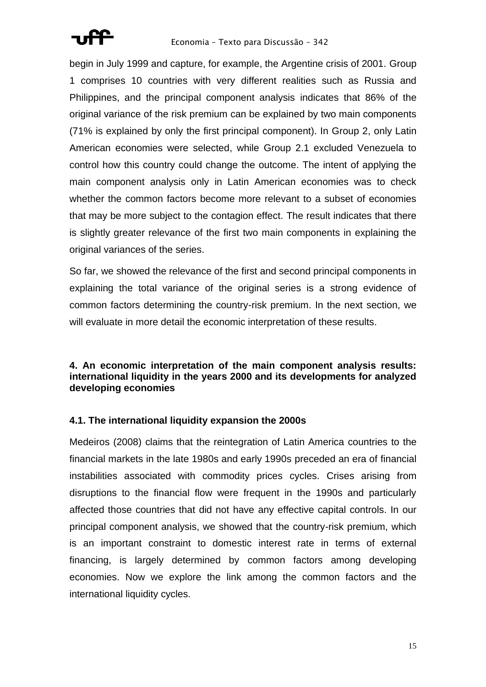begin in July 1999 and capture, for example, the Argentine crisis of 2001. Group 1 comprises 10 countries with very different realities such as Russia and Philippines, and the principal component analysis indicates that 86% of the original variance of the risk premium can be explained by two main components (71% is explained by only the first principal component). In Group 2, only Latin American economies were selected, while Group 2.1 excluded Venezuela to control how this country could change the outcome. The intent of applying the main component analysis only in Latin American economies was to check whether the common factors become more relevant to a subset of economies that may be more subject to the contagion effect. The result indicates that there is slightly greater relevance of the first two main components in explaining the original variances of the series.

So far, we showed the relevance of the first and second principal components in explaining the total variance of the original series is a strong evidence of common factors determining the country-risk premium. In the next section, we will evaluate in more detail the economic interpretation of these results.

## **4. An economic interpretation of the main component analysis results: international liquidity in the years 2000 and its developments for analyzed developing economies**

## **4.1. The international liquidity expansion the 2000s**

Medeiros (2008) claims that the reintegration of Latin America countries to the financial markets in the late 1980s and early 1990s preceded an era of financial instabilities associated with commodity prices cycles. Crises arising from disruptions to the financial flow were frequent in the 1990s and particularly affected those countries that did not have any effective capital controls. In our principal component analysis, we showed that the country-risk premium, which is an important constraint to domestic interest rate in terms of external financing, is largely determined by common factors among developing economies. Now we explore the link among the common factors and the international liquidity cycles.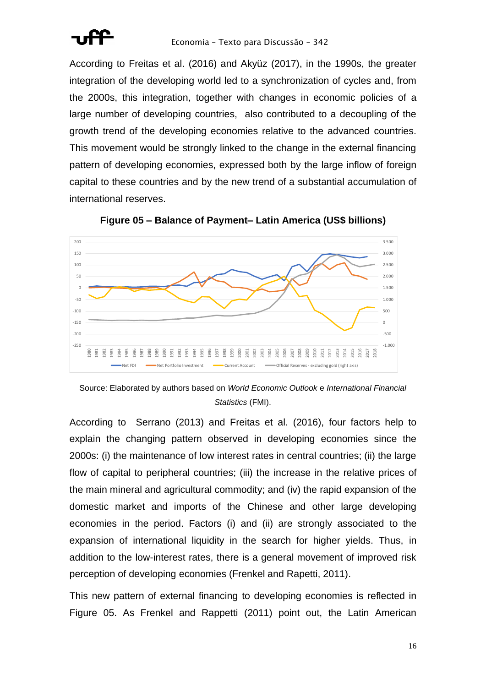

According to Freitas et al. (2016) and Akyüz (2017), in the 1990s, the greater integration of the developing world led to a synchronization of cycles and, from the 2000s, this integration, together with changes in economic policies of a large number of developing countries, also contributed to a decoupling of the growth trend of the developing economies relative to the advanced countries. This movement would be strongly linked to the change in the external financing pattern of developing economies, expressed both by the large inflow of foreign capital to these countries and by the new trend of a substantial accumulation of international reserves.



**Figure 05 – Balance of Payment– Latin America (US\$ billions)**

According to Serrano (2013) and Freitas et al. (2016), four factors help to explain the changing pattern observed in developing economies since the 2000s: (i) the maintenance of low interest rates in central countries; (ii) the large flow of capital to peripheral countries; (iii) the increase in the relative prices of the main mineral and agricultural commodity; and (iv) the rapid expansion of the domestic market and imports of the Chinese and other large developing economies in the period. Factors (i) and (ii) are strongly associated to the expansion of international liquidity in the search for higher yields. Thus, in addition to the low-interest rates, there is a general movement of improved risk perception of developing economies (Frenkel and Rapetti, 2011).

This new pattern of external financing to developing economies is reflected in Figure 05. As Frenkel and Rappetti (2011) point out, the Latin American

Source: Elaborated by authors based on *World Economic Outlook* e *International Financial Statistics* (FMI).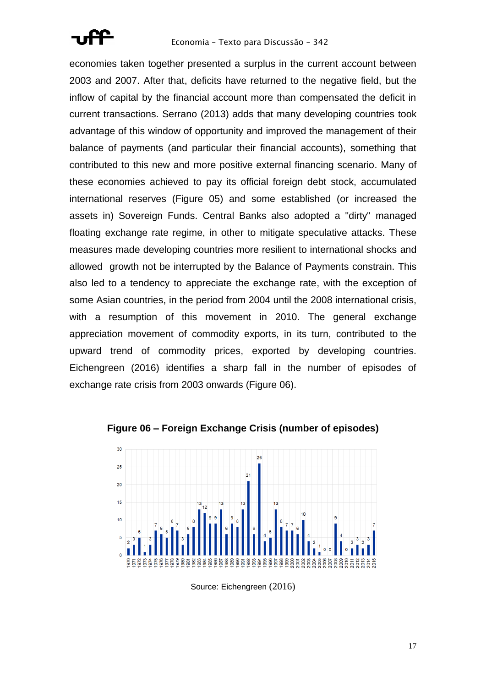economies taken together presented a surplus in the current account between 2003 and 2007. After that, deficits have returned to the negative field, but the inflow of capital by the financial account more than compensated the deficit in current transactions. Serrano (2013) adds that many developing countries took advantage of this window of opportunity and improved the management of their balance of payments (and particular their financial accounts), something that contributed to this new and more positive external financing scenario. Many of these economies achieved to pay its official foreign debt stock, accumulated international reserves (Figure 05) and some established (or increased the assets in) Sovereign Funds. Central Banks also adopted a "dirty" managed floating exchange rate regime, in other to mitigate speculative attacks. These measures made developing countries more resilient to international shocks and allowed growth not be interrupted by the Balance of Payments constrain. This also led to a tendency to appreciate the exchange rate, with the exception of some Asian countries, in the period from 2004 until the 2008 international crisis, with a resumption of this movement in 2010. The general exchange appreciation movement of commodity exports, in its turn, contributed to the upward trend of commodity prices, exported by developing countries. Eichengreen (2016) identifies a sharp fall in the number of episodes of exchange rate crisis from 2003 onwards (Figure 06).



**Figure 06 – Foreign Exchange Crisis (number of episodes)**

Source: Eichengreen (2016)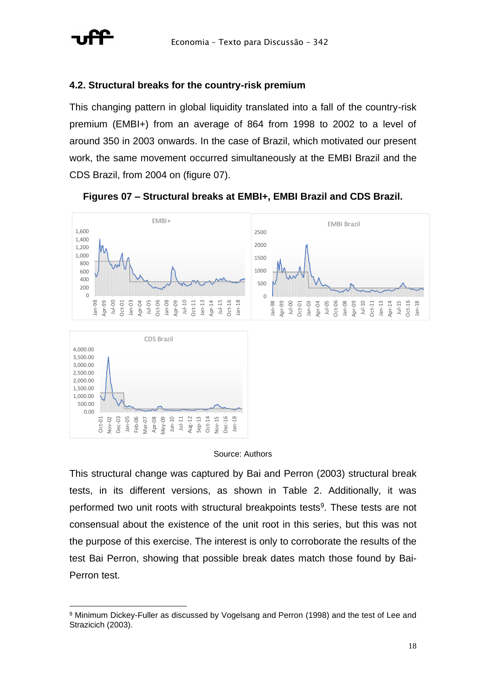

## **4.2. Structural breaks for the country-risk premium**

This changing pattern in global liquidity translated into a fall of the country-risk premium (EMBI+) from an average of 864 from 1998 to 2002 to a level of around 350 in 2003 onwards. In the case of Brazil, which motivated our present work, the same movement occurred simultaneously at the EMBI Brazil and the CDS Brazil, from 2004 on (figure 07).



**Figures 07 – Structural breaks at EMBI+, EMBI Brazil and CDS Brazil.**

### Source: Authors

This structural change was captured by Bai and Perron (2003) structural break tests, in its different versions, as shown in Table 2. Additionally, it was performed two unit roots with structural breakpoints tests<sup>9</sup>. These tests are not consensual about the existence of the unit root in this series, but this was not the purpose of this exercise. The interest is only to corroborate the results of the test Bai Perron, showing that possible break dates match those found by Bai-Perron test.

<sup>9</sup> Minimum Dickey-Fuller as discussed by Vogelsang and Perron (1998) and the test of Lee and Strazicich (2003).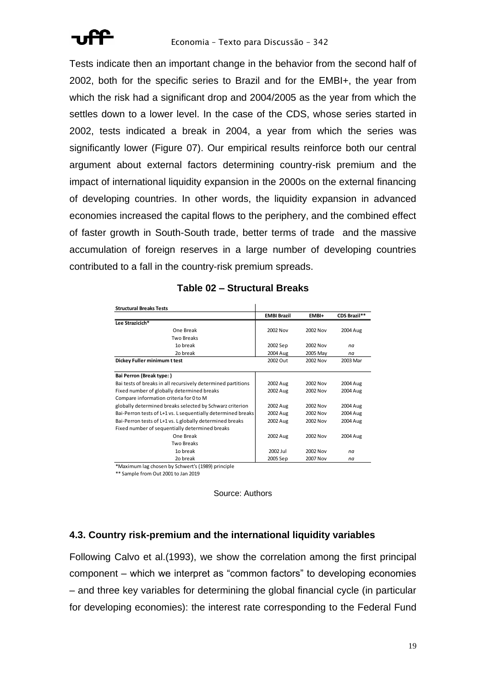Tests indicate then an important change in the behavior from the second half of 2002, both for the specific series to Brazil and for the EMBI+, the year from which the risk had a significant drop and 2004/2005 as the year from which the settles down to a lower level. In the case of the CDS, whose series started in 2002, tests indicated a break in 2004, a year from which the series was significantly lower (Figure 07). Our empirical results reinforce both our central argument about external factors determining country-risk premium and the impact of international liquidity expansion in the 2000s on the external financing of developing countries. In other words, the liquidity expansion in advanced economies increased the capital flows to the periphery, and the combined effect of faster growth in South-South trade, better terms of trade and the massive accumulation of foreign reserves in a large number of developing countries contributed to a fall in the country-risk premium spreads.

| <b>Structural Breaks Tests</b>                               |                    |          |                     |
|--------------------------------------------------------------|--------------------|----------|---------------------|
|                                                              | <b>EMBI Brazil</b> | EMBI+    | <b>CDS Brazil**</b> |
| Lee Strazicich*                                              |                    |          |                     |
| One Break                                                    | 2002 Nov           | 2002 Nov | 2004 Aug            |
| <b>Two Breaks</b>                                            |                    |          |                     |
| 10 break                                                     | 2002 Sep           | 2002 Nov | na                  |
| 2o break                                                     | 2004 Aug           | 2005 May | na                  |
| Dickey Fuller minimum t test                                 | 2002 Out           | 2002 Nov | 2003 Mar            |
|                                                              |                    |          |                     |
| Bai Perron (Break type:)                                     |                    |          |                     |
| Bai tests of breaks in all recursively determined partitions | 2002 Aug           | 2002 Nov | 2004 Aug            |
| Fixed number of globally determined breaks                   | 2002 Aug           | 2002 Nov | 2004 Aug            |
| Compare information criteria for 0 to M                      |                    |          |                     |
| globally determined breaks selected by Schwarz criterion     | 2002 Aug           | 2002 Nov | 2004 Aug            |
| Bai-Perron tests of L+1 vs. L sequentially determined breaks | 2002 Aug           | 2002 Nov | 2004 Aug            |
| Bai-Perron tests of L+1 vs. L globally determined breaks     | 2002 Aug           | 2002 Nov | 2004 Aug            |
| Fixed number of sequentially determined breaks               |                    |          |                     |
| One Break                                                    | 2002 Aug           | 2002 Nov | 2004 Aug            |
| <b>Two Breaks</b>                                            |                    |          |                     |
| 10 break                                                     | 2002 Jul           | 2002 Nov | na                  |
| 2o break                                                     | 2005 Sep           | 2007 Nov | na                  |

## **Table 02 – Structural Breaks**

\*Maximum lag chosen by Schwert's (1989) principle

\*\* Sample from Out 2001 to Jan 2019

Source: Authors

## **4.3. Country risk-premium and the international liquidity variables**

Following Calvo et al.(1993), we show the correlation among the first principal component – which we interpret as "common factors" to developing economies – and three key variables for determining the global financial cycle (in particular for developing economies): the interest rate corresponding to the Federal Fund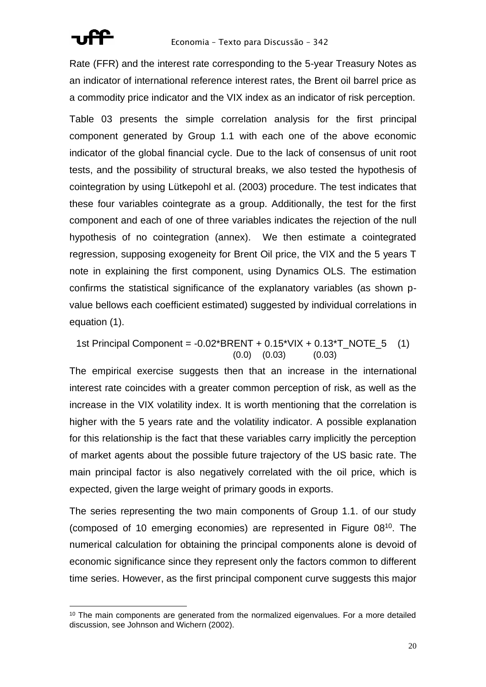

Rate (FFR) and the interest rate corresponding to the 5-year Treasury Notes as an indicator of international reference interest rates, the Brent oil barrel price as a commodity price indicator and the VIX index as an indicator of risk perception.

Table 03 presents the simple correlation analysis for the first principal component generated by Group 1.1 with each one of the above economic indicator of the global financial cycle. Due to the lack of consensus of unit root tests, and the possibility of structural breaks, we also tested the hypothesis of cointegration by using Lütkepohl et al. (2003) procedure. The test indicates that these four variables cointegrate as a group. Additionally, the test for the first component and each of one of three variables indicates the rejection of the null hypothesis of no cointegration (annex). We then estimate a cointegrated regression, supposing exogeneity for Brent Oil price, the VIX and the 5 years T note in explaining the first component, using Dynamics OLS. The estimation confirms the statistical significance of the explanatory variables (as shown pvalue bellows each coefficient estimated) suggested by individual correlations in equation (1).

1st Principal Component =  $-0.02$ \*BRENT +  $0.15$ \*VIX +  $0.13$ \*T\_NOTE\_5 (1)  $(0.0)$   $(0.03)$   $(0.03)$ 

The empirical exercise suggests then that an increase in the international interest rate coincides with a greater common perception of risk, as well as the increase in the VIX volatility index. It is worth mentioning that the correlation is higher with the 5 years rate and the volatility indicator. A possible explanation for this relationship is the fact that these variables carry implicitly the perception of market agents about the possible future trajectory of the US basic rate. The main principal factor is also negatively correlated with the oil price, which is expected, given the large weight of primary goods in exports.

The series representing the two main components of Group 1.1. of our study (composed of 10 emerging economies) are represented in Figure 08 <sup>10</sup>. The numerical calculation for obtaining the principal components alone is devoid of economic significance since they represent only the factors common to different time series. However, as the first principal component curve suggests this major

 $10$  The main components are generated from the normalized eigenvalues. For a more detailed discussion, see Johnson and Wichern (2002).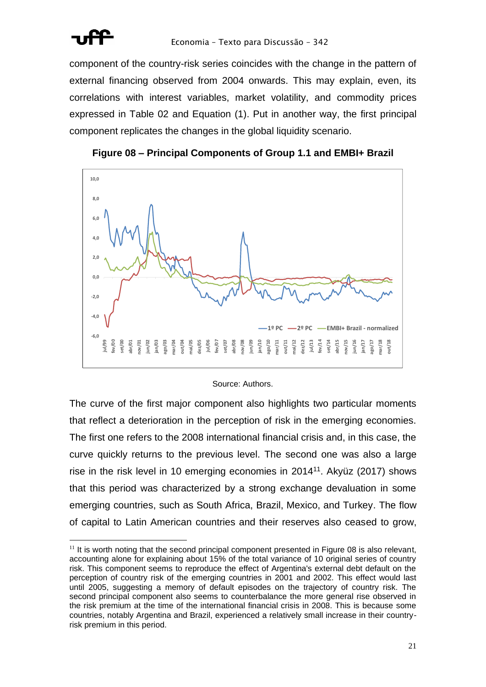

component of the country-risk series coincides with the change in the pattern of external financing observed from 2004 onwards. This may explain, even, its correlations with interest variables, market volatility, and commodity prices expressed in Table 02 and Equation (1). Put in another way, the first principal component replicates the changes in the global liquidity scenario.





#### Source: Authors.

The curve of the first major component also highlights two particular moments that reflect a deterioration in the perception of risk in the emerging economies. The first one refers to the 2008 international financial crisis and, in this case, the curve quickly returns to the previous level. The second one was also a large rise in the risk level in 10 emerging economies in 2014<sup>11</sup>. Akyüz (2017) shows that this period was characterized by a strong exchange devaluation in some emerging countries, such as South Africa, Brazil, Mexico, and Turkey. The flow of capital to Latin American countries and their reserves also ceased to grow,

 $11$  It is worth noting that the second principal component presented in Figure 08 is also relevant, accounting alone for explaining about 15% of the total variance of 10 original series of country risk. This component seems to reproduce the effect of Argentina's external debt default on the perception of country risk of the emerging countries in 2001 and 2002. This effect would last until 2005, suggesting a memory of default episodes on the trajectory of country risk. The second principal component also seems to counterbalance the more general rise observed in the risk premium at the time of the international financial crisis in 2008. This is because some countries, notably Argentina and Brazil, experienced a relatively small increase in their countryrisk premium in this period.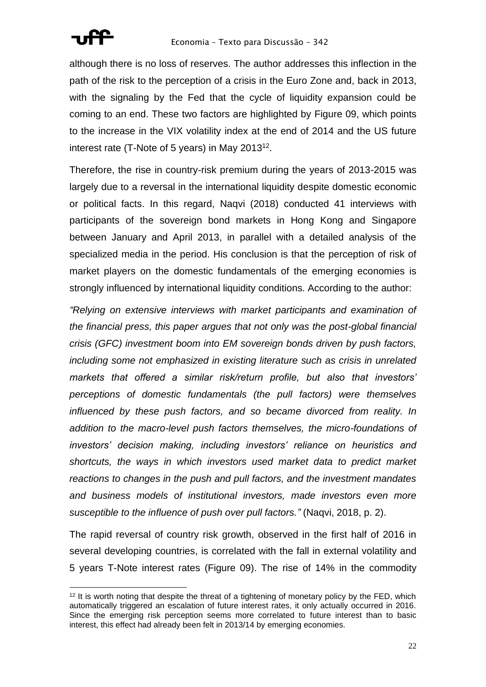

although there is no loss of reserves. The author addresses this inflection in the path of the risk to the perception of a crisis in the Euro Zone and, back in 2013, with the signaling by the Fed that the cycle of liquidity expansion could be coming to an end. These two factors are highlighted by Figure 09, which points to the increase in the VIX volatility index at the end of 2014 and the US future interest rate (T-Note of 5 years) in May 2013<sup>12</sup>.

Therefore, the rise in country-risk premium during the years of 2013-2015 was largely due to a reversal in the international liquidity despite domestic economic or political facts. In this regard, Naqvi (2018) conducted 41 interviews with participants of the sovereign bond markets in Hong Kong and Singapore between January and April 2013, in parallel with a detailed analysis of the specialized media in the period. His conclusion is that the perception of risk of market players on the domestic fundamentals of the emerging economies is strongly influenced by international liquidity conditions. According to the author:

*"Relying on extensive interviews with market participants and examination of the financial press, this paper argues that not only was the post-global financial crisis (GFC) investment boom into EM sovereign bonds driven by push factors, including some not emphasized in existing literature such as crisis in unrelated markets that offered a similar risk/return profile, but also that investors' perceptions of domestic fundamentals (the pull factors) were themselves influenced by these push factors, and so became divorced from reality. In addition to the macro-level push factors themselves, the micro-foundations of investors' decision making, including investors' reliance on heuristics and shortcuts, the ways in which investors used market data to predict market reactions to changes in the push and pull factors, and the investment mandates and business models of institutional investors, made investors even more susceptible to the influence of push over pull factors."* (Naqvi, 2018, p. 2).

The rapid reversal of country risk growth, observed in the first half of 2016 in several developing countries, is correlated with the fall in external volatility and 5 years T-Note interest rates (Figure 09). The rise of 14% in the commodity

<sup>&</sup>lt;sup>12</sup> It is worth noting that despite the threat of a tightening of monetary policy by the FED, which automatically triggered an escalation of future interest rates, it only actually occurred in 2016. Since the emerging risk perception seems more correlated to future interest than to basic interest, this effect had already been felt in 2013/14 by emerging economies.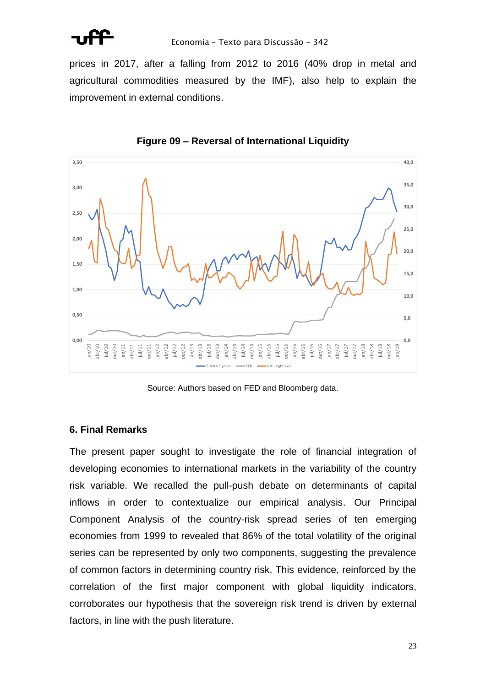

prices in 2017, after a falling from 2012 to 2016 (40% drop in metal and agricultural commodities measured by the IMF), also help to explain the improvement in external conditions.



**Figure 09 – Reversal of International Liquidity**

Source: Authors based on FED and Bloomberg data.

## **6. Final Remarks**

The present paper sought to investigate the role of financial integration of developing economies to international markets in the variability of the country risk variable. We recalled the pull-push debate on determinants of capital inflows in order to contextualize our empirical analysis. Our Principal Component Analysis of the country-risk spread series of ten emerging economies from 1999 to revealed that 86% of the total volatility of the original series can be represented by only two components, suggesting the prevalence of common factors in determining country risk. This evidence, reinforced by the correlation of the first major component with global liquidity indicators, corroborates our hypothesis that the sovereign risk trend is driven by external factors, in line with the push literature.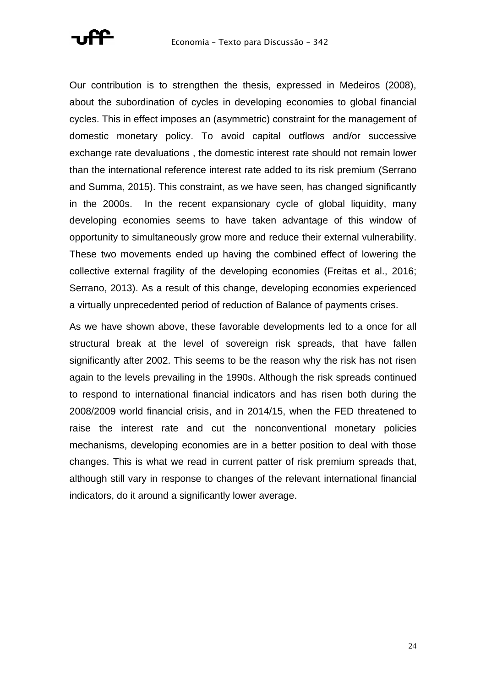

Our contribution is to strengthen the thesis, expressed in Medeiros (2008), about the subordination of cycles in developing economies to global financial cycles. This in effect imposes an (asymmetric) constraint for the management of domestic monetary policy. To avoid capital outflows and/or successive exchange rate devaluations , the domestic interest rate should not remain lower than the international reference interest rate added to its risk premium (Serrano and Summa, 2015). This constraint, as we have seen, has changed significantly in the 2000s. In the recent expansionary cycle of global liquidity, many developing economies seems to have taken advantage of this window of opportunity to simultaneously grow more and reduce their external vulnerability. These two movements ended up having the combined effect of lowering the collective external fragility of the developing economies (Freitas et al., 2016; Serrano, 2013). As a result of this change, developing economies experienced a virtually unprecedented period of reduction of Balance of payments crises.

As we have shown above, these favorable developments led to a once for all structural break at the level of sovereign risk spreads, that have fallen significantly after 2002. This seems to be the reason why the risk has not risen again to the levels prevailing in the 1990s. Although the risk spreads continued to respond to international financial indicators and has risen both during the 2008/2009 world financial crisis, and in 2014/15, when the FED threatened to raise the interest rate and cut the nonconventional monetary policies mechanisms, developing economies are in a better position to deal with those changes. This is what we read in current patter of risk premium spreads that, although still vary in response to changes of the relevant international financial indicators, do it around a significantly lower average.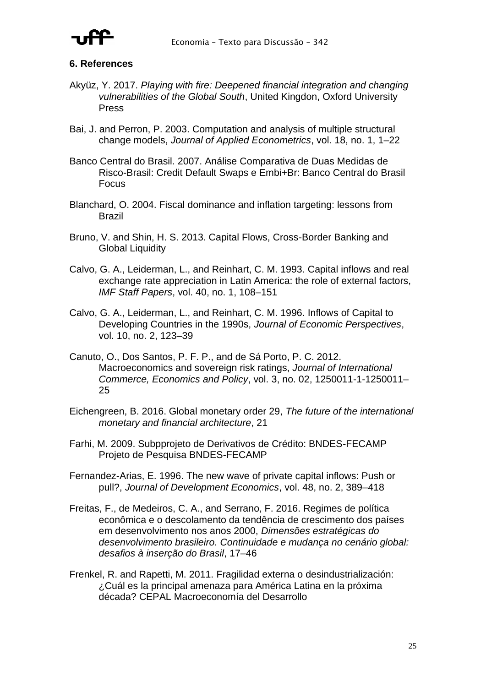

## **6. References**

- Akyüz, Y. 2017. *Playing with fire: Deepened financial integration and changing vulnerabilities of the Global South*, United Kingdon, Oxford University Press
- Bai, J. and Perron, P. 2003. Computation and analysis of multiple structural change models, *Journal of Applied Econometrics*, vol. 18, no. 1, 1–22
- Banco Central do Brasil. 2007. Análise Comparativa de Duas Medidas de Risco-Brasil: Credit Default Swaps e Embi+Br: Banco Central do Brasil Focus
- Blanchard, O. 2004. Fiscal dominance and inflation targeting: lessons from Brazil
- Bruno, V. and Shin, H. S. 2013. Capital Flows, Cross-Border Banking and Global Liquidity
- Calvo, G. A., Leiderman, L., and Reinhart, C. M. 1993. Capital inflows and real exchange rate appreciation in Latin America: the role of external factors, *IMF Staff Papers*, vol. 40, no. 1, 108–151
- Calvo, G. A., Leiderman, L., and Reinhart, C. M. 1996. Inflows of Capital to Developing Countries in the 1990s, *Journal of Economic Perspectives*, vol. 10, no. 2, 123–39
- Canuto, O., Dos Santos, P. F. P., and de Sá Porto, P. C. 2012. Macroeconomics and sovereign risk ratings, *Journal of International Commerce, Economics and Policy*, vol. 3, no. 02, 1250011-1-1250011– 25
- Eichengreen, B. 2016. Global monetary order 29, *The future of the international monetary and financial architecture*, 21
- Farhi, M. 2009. Subpprojeto de Derivativos de Crédito: BNDES-FECAMP Projeto de Pesquisa BNDES-FECAMP
- Fernandez-Arias, E. 1996. The new wave of private capital inflows: Push or pull?, *Journal of Development Economics*, vol. 48, no. 2, 389–418
- Freitas, F., de Medeiros, C. A., and Serrano, F. 2016. Regimes de política econômica e o descolamento da tendência de crescimento dos países em desenvolvimento nos anos 2000, *Dimensões estratégicas do desenvolvimento brasileiro. Continuidade e mudança no cenário global: desafios à inserção do Brasil*, 17–46
- Frenkel, R. and Rapetti, M. 2011. Fragilidad externa o desindustrialización: ¿Cuál es la principal amenaza para América Latina en la próxima década? CEPAL Macroeconomía del Desarrollo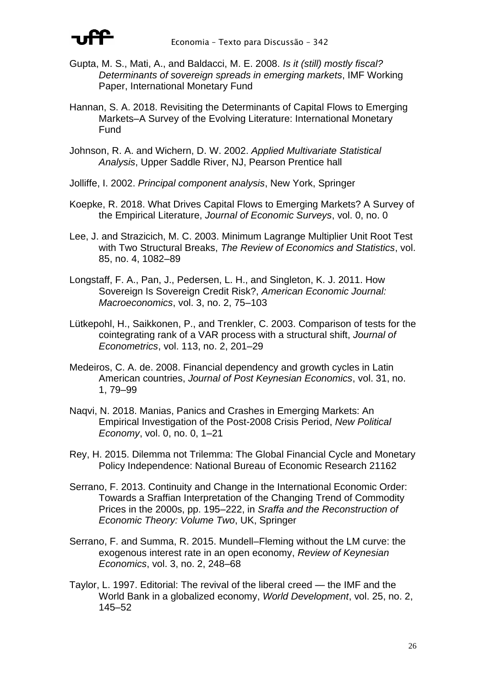

- Gupta, M. S., Mati, A., and Baldacci, M. E. 2008. *Is it (still) mostly fiscal? Determinants of sovereign spreads in emerging markets*, IMF Working Paper, International Monetary Fund
- Hannan, S. A. 2018. Revisiting the Determinants of Capital Flows to Emerging Markets–A Survey of the Evolving Literature: International Monetary Fund
- Johnson, R. A. and Wichern, D. W. 2002. *Applied Multivariate Statistical Analysis*, Upper Saddle River, NJ, Pearson Prentice hall
- Jolliffe, I. 2002. *Principal component analysis*, New York, Springer
- Koepke, R. 2018. What Drives Capital Flows to Emerging Markets? A Survey of the Empirical Literature, *Journal of Economic Surveys*, vol. 0, no. 0
- Lee, J. and Strazicich, M. C. 2003. Minimum Lagrange Multiplier Unit Root Test with Two Structural Breaks, *The Review of Economics and Statistics*, vol. 85, no. 4, 1082–89
- Longstaff, F. A., Pan, J., Pedersen, L. H., and Singleton, K. J. 2011. How Sovereign Is Sovereign Credit Risk?, *American Economic Journal: Macroeconomics*, vol. 3, no. 2, 75–103
- Lütkepohl, H., Saikkonen, P., and Trenkler, C. 2003. Comparison of tests for the cointegrating rank of a VAR process with a structural shift, *Journal of Econometrics*, vol. 113, no. 2, 201–29
- Medeiros, C. A. de. 2008. Financial dependency and growth cycles in Latin American countries, *Journal of Post Keynesian Economics*, vol. 31, no. 1, 79–99
- Naqvi, N. 2018. Manias, Panics and Crashes in Emerging Markets: An Empirical Investigation of the Post-2008 Crisis Period, *New Political Economy*, vol. 0, no. 0, 1–21
- Rey, H. 2015. Dilemma not Trilemma: The Global Financial Cycle and Monetary Policy Independence: National Bureau of Economic Research 21162
- Serrano, F. 2013. Continuity and Change in the International Economic Order: Towards a Sraffian Interpretation of the Changing Trend of Commodity Prices in the 2000s, pp. 195–222, in *Sraffa and the Reconstruction of Economic Theory: Volume Two*, UK, Springer
- Serrano, F. and Summa, R. 2015. Mundell–Fleming without the LM curve: the exogenous interest rate in an open economy, *Review of Keynesian Economics*, vol. 3, no. 2, 248–68
- Taylor, L. 1997. Editorial: The revival of the liberal creed the IMF and the World Bank in a globalized economy, *World Development*, vol. 25, no. 2, 145–52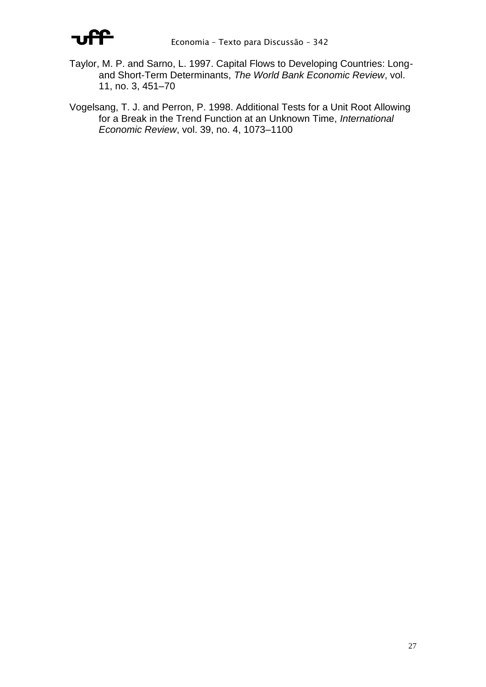

- Taylor, M. P. and Sarno, L. 1997. Capital Flows to Developing Countries: Longand Short-Term Determinants, *The World Bank Economic Review*, vol. 11, no. 3, 451–70
- Vogelsang, T. J. and Perron, P. 1998. Additional Tests for a Unit Root Allowing for a Break in the Trend Function at an Unknown Time, *International Economic Review*, vol. 39, no. 4, 1073–1100